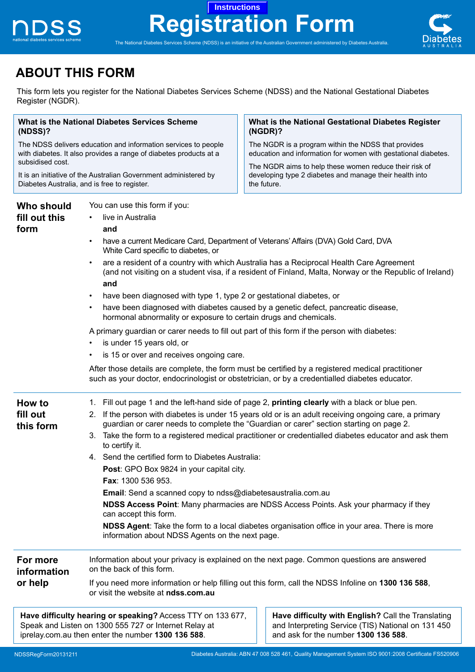

# **Registration Form Instructions**



The National Diabetes Services Scheme (NDSS) is an initiative of the Australian Government administered by Diabetes Australia.

## **ABOUT THIS FORM**

This form lets you register for the National Diabetes Services Scheme (NDSS) and the National Gestational Diabetes Register (NGDR).

| <b>What is the National Diabetes Services Scheme</b><br>(NDSS)?<br>The NDSS delivers education and information services to people<br>with diabetes. It also provides a range of diabetes products at a<br>subsidised cost.<br>It is an initiative of the Australian Government administered by<br>Diabetes Australia, and is free to register. |                                                                                                                                                                                                                                                                                                                                                                                                                                                                                                                                                                                                                                                                                                                                                                                                                                                                                                  | What is the National Gestational Diabetes Register<br>$(NGDR)$ ?<br>The NGDR is a program within the NDSS that provides<br>education and information for women with gestational diabetes.<br>The NGDR aims to help these women reduce their risk of<br>developing type 2 diabetes and manage their health into<br>the future. |  |                                     |                                                                                                                                                                                                                                                                                                                                                                                                                                                                                                                                                                                                                                                                                                                                                                                                                                                                                                                                 |                                                                                                |
|------------------------------------------------------------------------------------------------------------------------------------------------------------------------------------------------------------------------------------------------------------------------------------------------------------------------------------------------|--------------------------------------------------------------------------------------------------------------------------------------------------------------------------------------------------------------------------------------------------------------------------------------------------------------------------------------------------------------------------------------------------------------------------------------------------------------------------------------------------------------------------------------------------------------------------------------------------------------------------------------------------------------------------------------------------------------------------------------------------------------------------------------------------------------------------------------------------------------------------------------------------|-------------------------------------------------------------------------------------------------------------------------------------------------------------------------------------------------------------------------------------------------------------------------------------------------------------------------------|--|-------------------------------------|---------------------------------------------------------------------------------------------------------------------------------------------------------------------------------------------------------------------------------------------------------------------------------------------------------------------------------------------------------------------------------------------------------------------------------------------------------------------------------------------------------------------------------------------------------------------------------------------------------------------------------------------------------------------------------------------------------------------------------------------------------------------------------------------------------------------------------------------------------------------------------------------------------------------------------|------------------------------------------------------------------------------------------------|
|                                                                                                                                                                                                                                                                                                                                                |                                                                                                                                                                                                                                                                                                                                                                                                                                                                                                                                                                                                                                                                                                                                                                                                                                                                                                  |                                                                                                                                                                                                                                                                                                                               |  | Who should<br>fill out this<br>form | You can use this form if you:<br>live in Australia<br>and<br>have a current Medicare Card, Department of Veterans' Affairs (DVA) Gold Card, DVA<br>White Card specific to diabetes, or<br>are a resident of a country with which Australia has a Reciprocal Health Care Agreement<br>(and not visiting on a student visa, if a resident of Finland, Malta, Norway or the Republic of Ireland)<br>and<br>have been diagnosed with type 1, type 2 or gestational diabetes, or<br>$\bullet$<br>have been diagnosed with diabetes caused by a genetic defect, pancreatic disease,<br>hormonal abnormality or exposure to certain drugs and chemicals.<br>A primary guardian or carer needs to fill out part of this form if the person with diabetes:<br>is under 15 years old, or<br>is 15 or over and receives ongoing care.<br>After those details are complete, the form must be certified by a registered medical practitioner |                                                                                                |
|                                                                                                                                                                                                                                                                                                                                                |                                                                                                                                                                                                                                                                                                                                                                                                                                                                                                                                                                                                                                                                                                                                                                                                                                                                                                  |                                                                                                                                                                                                                                                                                                                               |  |                                     |                                                                                                                                                                                                                                                                                                                                                                                                                                                                                                                                                                                                                                                                                                                                                                                                                                                                                                                                 | such as your doctor, endocrinologist or obstetrician, or by a credentialled diabetes educator. |
| How to<br>fill out<br>this form                                                                                                                                                                                                                                                                                                                | 1. Fill out page 1 and the left-hand side of page 2, printing clearly with a black or blue pen.<br>2. If the person with diabetes is under 15 years old or is an adult receiving ongoing care, a primary<br>guardian or carer needs to complete the "Guardian or carer" section starting on page 2.<br>3. Take the form to a registered medical practitioner or credentialled diabetes educator and ask them<br>to certify it.<br>4. Send the certified form to Diabetes Australia:<br>Post: GPO Box 9824 in your capital city.<br><b>Fax: 1300 536 953.</b><br>Email: Send a scanned copy to ndss@diabetesaustralia.com.au<br>NDSS Access Point: Many pharmacies are NDSS Access Points. Ask your pharmacy if they<br>can accept this form.<br>NDSS Agent: Take the form to a local diabetes organisation office in your area. There is more<br>information about NDSS Agents on the next page. |                                                                                                                                                                                                                                                                                                                               |  |                                     |                                                                                                                                                                                                                                                                                                                                                                                                                                                                                                                                                                                                                                                                                                                                                                                                                                                                                                                                 |                                                                                                |
| For more<br>information<br>or help                                                                                                                                                                                                                                                                                                             | on the back of this form.                                                                                                                                                                                                                                                                                                                                                                                                                                                                                                                                                                                                                                                                                                                                                                                                                                                                        | Information about your privacy is explained on the next page. Common questions are answered<br>If you need more information or help filling out this form, call the NDSS Infoline on 1300 136 588,                                                                                                                            |  |                                     |                                                                                                                                                                                                                                                                                                                                                                                                                                                                                                                                                                                                                                                                                                                                                                                                                                                                                                                                 |                                                                                                |
|                                                                                                                                                                                                                                                                                                                                                | or visit the website at ndss.com.au                                                                                                                                                                                                                                                                                                                                                                                                                                                                                                                                                                                                                                                                                                                                                                                                                                                              |                                                                                                                                                                                                                                                                                                                               |  |                                     |                                                                                                                                                                                                                                                                                                                                                                                                                                                                                                                                                                                                                                                                                                                                                                                                                                                                                                                                 |                                                                                                |
|                                                                                                                                                                                                                                                                                                                                                | Have difficulty hearing or speaking? Access TTY on 133 677,<br>Speak and Listen on 1300 555 727 or Internet Relay at                                                                                                                                                                                                                                                                                                                                                                                                                                                                                                                                                                                                                                                                                                                                                                             | Have difficulty with English? Call the Translating<br>and Interpreting Service (TIS) National on 131 450                                                                                                                                                                                                                      |  |                                     |                                                                                                                                                                                                                                                                                                                                                                                                                                                                                                                                                                                                                                                                                                                                                                                                                                                                                                                                 |                                                                                                |

iprelay.com.au then enter the number **1300 136 588**.

and ask for the number **1300 136 588**.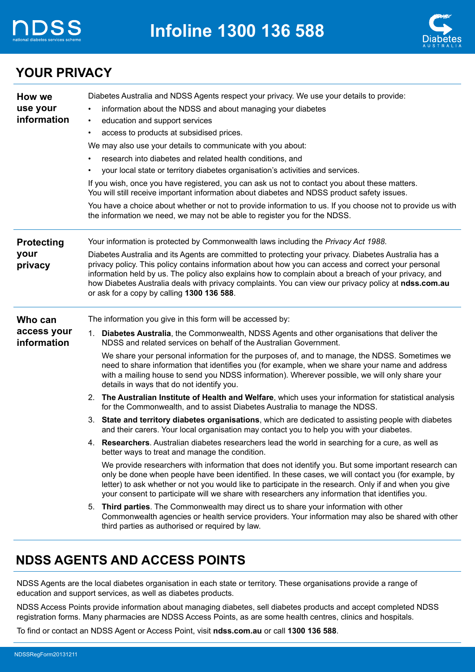



### **YOUR PRIVACY**

| use your<br>information about the NDSS and about managing your diabetes<br>information<br>education and support services<br>$\bullet$<br>access to products at subsidised prices.<br>$\bullet$<br>We may also use your details to communicate with you about:<br>research into diabetes and related health conditions, and<br>your local state or territory diabetes organisation's activities and services.<br>If you wish, once you have registered, you can ask us not to contact you about these matters.<br>You will still receive important information about diabetes and NDSS product safety issues.<br>You have a choice about whether or not to provide information to us. If you choose not to provide us with<br>the information we need, we may not be able to register you for the NDSS.<br>Your information is protected by Commonwealth laws including the Privacy Act 1988.<br><b>Protecting</b><br>your<br>Diabetes Australia and its Agents are committed to protecting your privacy. Diabetes Australia has a<br>privacy policy. This policy contains information about how you can access and correct your personal<br>privacy<br>information held by us. The policy also explains how to complain about a breach of your privacy, and<br>how Diabetes Australia deals with privacy complaints. You can view our privacy policy at ndss.com.au<br>or ask for a copy by calling 1300 136 588.<br>The information you give in this form will be accessed by:<br>Who can<br>access your<br>Diabetes Australia, the Commonwealth, NDSS Agents and other organisations that deliver the<br>1.<br>information<br>NDSS and related services on behalf of the Australian Government.<br>We share your personal information for the purposes of, and to manage, the NDSS. Sometimes we<br>need to share information that identifies you (for example, when we share your name and address<br>with a mailing house to send you NDSS information). Wherever possible, we will only share your<br>details in ways that do not identify you.<br>2. The Australian Institute of Health and Welfare, which uses your information for statistical analysis<br>for the Commonwealth, and to assist Diabetes Australia to manage the NDSS.<br>3. State and territory diabetes organisations, which are dedicated to assisting people with diabetes<br>and their carers. Your local organisation may contact you to help you with your diabetes.<br>4. Researchers. Australian diabetes researchers lead the world in searching for a cure, as well as<br>better ways to treat and manage the condition.<br>We provide researchers with information that does not identify you. But some important research can<br>only be done when people have been identified. In these cases, we will contact you (for example, by<br>letter) to ask whether or not you would like to participate in the research. Only if and when you give<br>your consent to participate will we share with researchers any information that identifies you.<br>5. Third parties. The Commonwealth may direct us to share your information with other<br>third parties as authorised or required by law. | How we | Diabetes Australia and NDSS Agents respect your privacy. We use your details to provide:          |  |
|-----------------------------------------------------------------------------------------------------------------------------------------------------------------------------------------------------------------------------------------------------------------------------------------------------------------------------------------------------------------------------------------------------------------------------------------------------------------------------------------------------------------------------------------------------------------------------------------------------------------------------------------------------------------------------------------------------------------------------------------------------------------------------------------------------------------------------------------------------------------------------------------------------------------------------------------------------------------------------------------------------------------------------------------------------------------------------------------------------------------------------------------------------------------------------------------------------------------------------------------------------------------------------------------------------------------------------------------------------------------------------------------------------------------------------------------------------------------------------------------------------------------------------------------------------------------------------------------------------------------------------------------------------------------------------------------------------------------------------------------------------------------------------------------------------------------------------------------------------------------------------------------------------------------------------------------------------------------------------------------------------------------------------------------------------------------------------------------------------------------------------------------------------------------------------------------------------------------------------------------------------------------------------------------------------------------------------------------------------------------------------------------------------------------------------------------------------------------------------------------------------------------------------------------------------------------------------------------------------------------------------------------------------------------------------------------------------------------------------------------------------------------------------------------------------------------------------------------------------------------------------------------------------------------------------------------------------------------------------------------------------------------------------------------------------------------------------------------------------------------------------------------------------------------------------------|--------|---------------------------------------------------------------------------------------------------|--|
|                                                                                                                                                                                                                                                                                                                                                                                                                                                                                                                                                                                                                                                                                                                                                                                                                                                                                                                                                                                                                                                                                                                                                                                                                                                                                                                                                                                                                                                                                                                                                                                                                                                                                                                                                                                                                                                                                                                                                                                                                                                                                                                                                                                                                                                                                                                                                                                                                                                                                                                                                                                                                                                                                                                                                                                                                                                                                                                                                                                                                                                                                                                                                                                   |        |                                                                                                   |  |
|                                                                                                                                                                                                                                                                                                                                                                                                                                                                                                                                                                                                                                                                                                                                                                                                                                                                                                                                                                                                                                                                                                                                                                                                                                                                                                                                                                                                                                                                                                                                                                                                                                                                                                                                                                                                                                                                                                                                                                                                                                                                                                                                                                                                                                                                                                                                                                                                                                                                                                                                                                                                                                                                                                                                                                                                                                                                                                                                                                                                                                                                                                                                                                                   |        |                                                                                                   |  |
|                                                                                                                                                                                                                                                                                                                                                                                                                                                                                                                                                                                                                                                                                                                                                                                                                                                                                                                                                                                                                                                                                                                                                                                                                                                                                                                                                                                                                                                                                                                                                                                                                                                                                                                                                                                                                                                                                                                                                                                                                                                                                                                                                                                                                                                                                                                                                                                                                                                                                                                                                                                                                                                                                                                                                                                                                                                                                                                                                                                                                                                                                                                                                                                   |        |                                                                                                   |  |
|                                                                                                                                                                                                                                                                                                                                                                                                                                                                                                                                                                                                                                                                                                                                                                                                                                                                                                                                                                                                                                                                                                                                                                                                                                                                                                                                                                                                                                                                                                                                                                                                                                                                                                                                                                                                                                                                                                                                                                                                                                                                                                                                                                                                                                                                                                                                                                                                                                                                                                                                                                                                                                                                                                                                                                                                                                                                                                                                                                                                                                                                                                                                                                                   |        |                                                                                                   |  |
|                                                                                                                                                                                                                                                                                                                                                                                                                                                                                                                                                                                                                                                                                                                                                                                                                                                                                                                                                                                                                                                                                                                                                                                                                                                                                                                                                                                                                                                                                                                                                                                                                                                                                                                                                                                                                                                                                                                                                                                                                                                                                                                                                                                                                                                                                                                                                                                                                                                                                                                                                                                                                                                                                                                                                                                                                                                                                                                                                                                                                                                                                                                                                                                   |        |                                                                                                   |  |
|                                                                                                                                                                                                                                                                                                                                                                                                                                                                                                                                                                                                                                                                                                                                                                                                                                                                                                                                                                                                                                                                                                                                                                                                                                                                                                                                                                                                                                                                                                                                                                                                                                                                                                                                                                                                                                                                                                                                                                                                                                                                                                                                                                                                                                                                                                                                                                                                                                                                                                                                                                                                                                                                                                                                                                                                                                                                                                                                                                                                                                                                                                                                                                                   |        |                                                                                                   |  |
|                                                                                                                                                                                                                                                                                                                                                                                                                                                                                                                                                                                                                                                                                                                                                                                                                                                                                                                                                                                                                                                                                                                                                                                                                                                                                                                                                                                                                                                                                                                                                                                                                                                                                                                                                                                                                                                                                                                                                                                                                                                                                                                                                                                                                                                                                                                                                                                                                                                                                                                                                                                                                                                                                                                                                                                                                                                                                                                                                                                                                                                                                                                                                                                   |        |                                                                                                   |  |
|                                                                                                                                                                                                                                                                                                                                                                                                                                                                                                                                                                                                                                                                                                                                                                                                                                                                                                                                                                                                                                                                                                                                                                                                                                                                                                                                                                                                                                                                                                                                                                                                                                                                                                                                                                                                                                                                                                                                                                                                                                                                                                                                                                                                                                                                                                                                                                                                                                                                                                                                                                                                                                                                                                                                                                                                                                                                                                                                                                                                                                                                                                                                                                                   |        |                                                                                                   |  |
|                                                                                                                                                                                                                                                                                                                                                                                                                                                                                                                                                                                                                                                                                                                                                                                                                                                                                                                                                                                                                                                                                                                                                                                                                                                                                                                                                                                                                                                                                                                                                                                                                                                                                                                                                                                                                                                                                                                                                                                                                                                                                                                                                                                                                                                                                                                                                                                                                                                                                                                                                                                                                                                                                                                                                                                                                                                                                                                                                                                                                                                                                                                                                                                   |        |                                                                                                   |  |
|                                                                                                                                                                                                                                                                                                                                                                                                                                                                                                                                                                                                                                                                                                                                                                                                                                                                                                                                                                                                                                                                                                                                                                                                                                                                                                                                                                                                                                                                                                                                                                                                                                                                                                                                                                                                                                                                                                                                                                                                                                                                                                                                                                                                                                                                                                                                                                                                                                                                                                                                                                                                                                                                                                                                                                                                                                                                                                                                                                                                                                                                                                                                                                                   |        |                                                                                                   |  |
|                                                                                                                                                                                                                                                                                                                                                                                                                                                                                                                                                                                                                                                                                                                                                                                                                                                                                                                                                                                                                                                                                                                                                                                                                                                                                                                                                                                                                                                                                                                                                                                                                                                                                                                                                                                                                                                                                                                                                                                                                                                                                                                                                                                                                                                                                                                                                                                                                                                                                                                                                                                                                                                                                                                                                                                                                                                                                                                                                                                                                                                                                                                                                                                   |        |                                                                                                   |  |
|                                                                                                                                                                                                                                                                                                                                                                                                                                                                                                                                                                                                                                                                                                                                                                                                                                                                                                                                                                                                                                                                                                                                                                                                                                                                                                                                                                                                                                                                                                                                                                                                                                                                                                                                                                                                                                                                                                                                                                                                                                                                                                                                                                                                                                                                                                                                                                                                                                                                                                                                                                                                                                                                                                                                                                                                                                                                                                                                                                                                                                                                                                                                                                                   |        |                                                                                                   |  |
|                                                                                                                                                                                                                                                                                                                                                                                                                                                                                                                                                                                                                                                                                                                                                                                                                                                                                                                                                                                                                                                                                                                                                                                                                                                                                                                                                                                                                                                                                                                                                                                                                                                                                                                                                                                                                                                                                                                                                                                                                                                                                                                                                                                                                                                                                                                                                                                                                                                                                                                                                                                                                                                                                                                                                                                                                                                                                                                                                                                                                                                                                                                                                                                   |        |                                                                                                   |  |
|                                                                                                                                                                                                                                                                                                                                                                                                                                                                                                                                                                                                                                                                                                                                                                                                                                                                                                                                                                                                                                                                                                                                                                                                                                                                                                                                                                                                                                                                                                                                                                                                                                                                                                                                                                                                                                                                                                                                                                                                                                                                                                                                                                                                                                                                                                                                                                                                                                                                                                                                                                                                                                                                                                                                                                                                                                                                                                                                                                                                                                                                                                                                                                                   |        |                                                                                                   |  |
|                                                                                                                                                                                                                                                                                                                                                                                                                                                                                                                                                                                                                                                                                                                                                                                                                                                                                                                                                                                                                                                                                                                                                                                                                                                                                                                                                                                                                                                                                                                                                                                                                                                                                                                                                                                                                                                                                                                                                                                                                                                                                                                                                                                                                                                                                                                                                                                                                                                                                                                                                                                                                                                                                                                                                                                                                                                                                                                                                                                                                                                                                                                                                                                   |        |                                                                                                   |  |
|                                                                                                                                                                                                                                                                                                                                                                                                                                                                                                                                                                                                                                                                                                                                                                                                                                                                                                                                                                                                                                                                                                                                                                                                                                                                                                                                                                                                                                                                                                                                                                                                                                                                                                                                                                                                                                                                                                                                                                                                                                                                                                                                                                                                                                                                                                                                                                                                                                                                                                                                                                                                                                                                                                                                                                                                                                                                                                                                                                                                                                                                                                                                                                                   |        |                                                                                                   |  |
|                                                                                                                                                                                                                                                                                                                                                                                                                                                                                                                                                                                                                                                                                                                                                                                                                                                                                                                                                                                                                                                                                                                                                                                                                                                                                                                                                                                                                                                                                                                                                                                                                                                                                                                                                                                                                                                                                                                                                                                                                                                                                                                                                                                                                                                                                                                                                                                                                                                                                                                                                                                                                                                                                                                                                                                                                                                                                                                                                                                                                                                                                                                                                                                   |        |                                                                                                   |  |
|                                                                                                                                                                                                                                                                                                                                                                                                                                                                                                                                                                                                                                                                                                                                                                                                                                                                                                                                                                                                                                                                                                                                                                                                                                                                                                                                                                                                                                                                                                                                                                                                                                                                                                                                                                                                                                                                                                                                                                                                                                                                                                                                                                                                                                                                                                                                                                                                                                                                                                                                                                                                                                                                                                                                                                                                                                                                                                                                                                                                                                                                                                                                                                                   |        | Commonwealth agencies or health service providers. Your information may also be shared with other |  |

### **NDSS AGENTS AND ACCESS POINTS**

NDSS Agents are the local diabetes organisation in each state or territory. These organisations provide a range of education and support services, as well as diabetes products.

NDSS Access Points provide information about managing diabetes, sell diabetes products and accept completed NDSS registration forms. Many pharmacies are NDSS Access Points, as are some health centres, clinics and hospitals.

To find or contact an NDSS Agent or Access Point, visit **ndss.com.au** or call **1300 136 588**.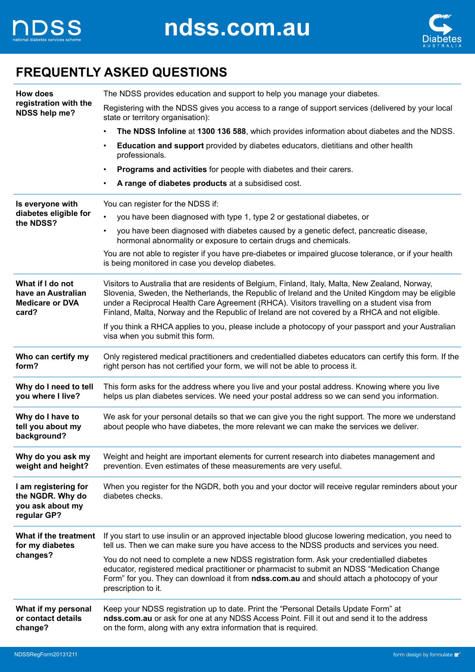



### **FREQUENTLY ASKED QUESTIONS**

| How does                                                                    | The NDSS provides education and support to help you manage your diabetes.                                                                                                                                                                                                                                                                                                                              |  |  |
|-----------------------------------------------------------------------------|--------------------------------------------------------------------------------------------------------------------------------------------------------------------------------------------------------------------------------------------------------------------------------------------------------------------------------------------------------------------------------------------------------|--|--|
| registration with the<br>NDSS help me?                                      | Registering with the NDSS gives you access to a range of support services (delivered by your local<br>state or territory organisation):                                                                                                                                                                                                                                                                |  |  |
|                                                                             | The NDSS Infoline at 1300 136 588, which provides information about diabetes and the NDSS.<br>$\bullet$                                                                                                                                                                                                                                                                                                |  |  |
|                                                                             | Education and support provided by diabetes educators, dietitians and other health<br>$\bullet$<br>professionals.                                                                                                                                                                                                                                                                                       |  |  |
|                                                                             | Programs and activities for people with diabetes and their carers.<br>$\bullet$                                                                                                                                                                                                                                                                                                                        |  |  |
|                                                                             | A range of diabetes products at a subsidised cost.<br>$\bullet$                                                                                                                                                                                                                                                                                                                                        |  |  |
| Is everyone with                                                            | You can register for the NDSS if:                                                                                                                                                                                                                                                                                                                                                                      |  |  |
| diabetes eligible for                                                       | you have been diagnosed with type 1, type 2 or gestational diabetes, or<br>$\bullet$                                                                                                                                                                                                                                                                                                                   |  |  |
| the NDSS?                                                                   | you have been diagnosed with diabetes caused by a genetic defect, pancreatic disease,<br>$\bullet$<br>hormonal abnormality or exposure to certain drugs and chemicals.                                                                                                                                                                                                                                 |  |  |
|                                                                             | You are not able to register if you have pre-diabetes or impaired glucose tolerance, or if your health<br>is being monitored in case you develop diabetes.                                                                                                                                                                                                                                             |  |  |
| What if I do not<br>have an Australian<br><b>Medicare or DVA</b><br>card?   | Visitors to Australia that are residents of Belgium, Finland, Italy, Malta, New Zealand, Norway,<br>Slovenia, Sweden, the Netherlands, the Republic of Ireland and the United Kingdom may be eligible<br>under a Reciprocal Health Care Agreement (RHCA). Visitors travelling on a student visa from<br>Finland, Malta, Norway and the Republic of Ireland are not covered by a RHCA and not eligible. |  |  |
|                                                                             | If you think a RHCA applies to you, please include a photocopy of your passport and your Australian<br>visa when you submit this form.                                                                                                                                                                                                                                                                 |  |  |
| Who can certify my<br>form?                                                 | Only registered medical practitioners and credentialled diabetes educators can certify this form. If the<br>right person has not certified your form, we will not be able to process it.                                                                                                                                                                                                               |  |  |
| Why do I need to tell<br>you where I live?                                  | This form asks for the address where you live and your postal address. Knowing where you live<br>helps us plan diabetes services. We need your postal address so we can send you information.                                                                                                                                                                                                          |  |  |
| Why do I have to<br>tell you about my<br>background?                        | We ask for your personal details so that we can give you the right support. The more we understand<br>about people who have diabetes, the more relevant we can make the services we deliver.                                                                                                                                                                                                           |  |  |
| Why do you ask my<br>weight and height?                                     | Weight and height are important elements for current research into diabetes management and<br>prevention. Even estimates of these measurements are very useful.                                                                                                                                                                                                                                        |  |  |
| I am registering for<br>the NGDR. Why do<br>you ask about my<br>regular GP? | When you register for the NGDR, both you and your doctor will receive regular reminders about your<br>diabetes checks.                                                                                                                                                                                                                                                                                 |  |  |
| What if the treatment<br>for my diabetes                                    | If you start to use insulin or an approved injectable blood glucose lowering medication, you need to<br>tell us. Then we can make sure you have access to the NDSS products and services you need.                                                                                                                                                                                                     |  |  |
| changes?                                                                    | You do not need to complete a new NDSS registration form. Ask your credentialled diabetes<br>educator, registered medical practitioner or pharmacist to submit an NDSS "Medication Change<br>Form" for you. They can download it from ndss.com.au and should attach a photocopy of your<br>prescription to it.                                                                                         |  |  |
| What if my personal<br>or contact details<br>change?                        | Keep your NDSS registration up to date. Print the "Personal Details Update Form" at<br>ndss.com.au or ask for one at any NDSS Access Point. Fill it out and send it to the address<br>on the form, along with any extra information that is required.                                                                                                                                                  |  |  |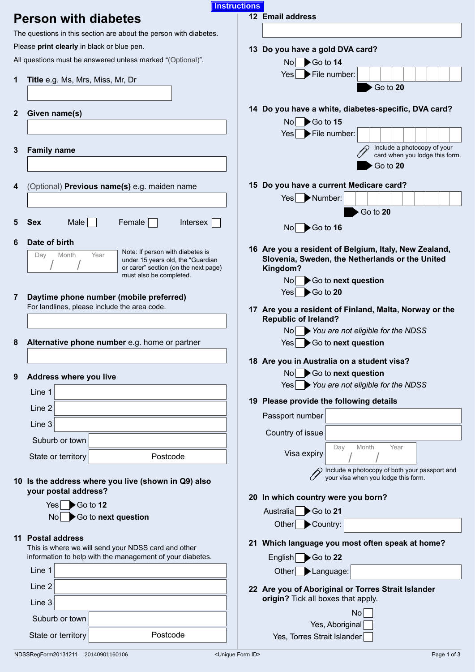|   |                                                                   | <b>Instructions</b> |                                                                                          |
|---|-------------------------------------------------------------------|---------------------|------------------------------------------------------------------------------------------|
|   | <b>Person with diabetes</b>                                       |                     | 12 Email address                                                                         |
|   | The questions in this section are about the person with diabetes. |                     |                                                                                          |
|   | Please print clearly in black or blue pen.                        |                     |                                                                                          |
|   |                                                                   |                     | 13 Do you have a gold DVA card?                                                          |
|   | All questions must be answered unless marked "(Optional)".        |                     | $\blacktriangleright$ Go to 14<br>No <sub>1</sub>                                        |
| 1 | Title e.g. Ms, Mrs, Miss, Mr, Dr                                  |                     | File number:<br>Yes                                                                      |
|   |                                                                   |                     | Go to 20                                                                                 |
|   |                                                                   |                     |                                                                                          |
| 2 | Given name(s)                                                     |                     | 14 Do you have a white, diabetes-specific, DVA card?                                     |
|   |                                                                   |                     | $\blacktriangleright$ Go to 15<br>No l                                                   |
|   |                                                                   |                     | File number:<br>Yes                                                                      |
| 3 | <b>Family name</b>                                                |                     | Include a photocopy of your                                                              |
|   |                                                                   |                     | card when you lodge this form.                                                           |
|   |                                                                   |                     | Go to 20                                                                                 |
|   |                                                                   |                     | 15 Do you have a current Medicare card?                                                  |
| 4 | (Optional) Previous name(s) e.g. maiden name                      |                     |                                                                                          |
|   |                                                                   |                     | Number:<br>Yes <sub>l</sub>                                                              |
|   |                                                                   |                     | Go to 20                                                                                 |
| 5 | $Male \vert$<br>Female<br><b>Sex</b><br>Intersex                  |                     | $\blacktriangleright$ Go to 16<br>No l                                                   |
| 6 | Date of birth                                                     |                     |                                                                                          |
|   | Note: If person with diabetes is<br>Month<br>Year<br>Day          |                     | 16 Are you a resident of Belgium, Italy, New Zealand,                                    |
|   | under 15 years old, the "Guardian                                 |                     | Slovenia, Sweden, the Netherlands or the United                                          |
|   | or carer" section (on the next page)<br>must also be completed.   |                     | Kingdom?                                                                                 |
|   |                                                                   |                     | Go to next question<br>No                                                                |
| 7 | Daytime phone number (mobile preferred)                           |                     | $\blacktriangleright$ Go to 20<br>Yes <sub>1</sub>                                       |
|   | For landlines, please include the area code.                      |                     | 17 Are you a resident of Finland, Malta, Norway or the                                   |
|   |                                                                   |                     | <b>Republic of Ireland?</b>                                                              |
|   |                                                                   |                     | You are not eligible for the NDSS<br>No                                                  |
| 8 | Alternative phone number e.g. home or partner                     |                     | Go to next question<br>Yes                                                               |
|   |                                                                   |                     | 18 Are you in Australia on a student visa?                                               |
|   |                                                                   |                     | Go to next question<br>N <sub>0</sub>                                                    |
| 9 | Address where you live                                            |                     | You are not eligible for the NDSS<br>Yes                                                 |
|   | Line 1                                                            |                     |                                                                                          |
|   | Line 2                                                            |                     | 19 Please provide the following details                                                  |
|   |                                                                   |                     | Passport number                                                                          |
|   | Line 3                                                            |                     | Country of issue                                                                         |
|   | Suburb or town                                                    |                     |                                                                                          |
|   | Postcode<br>State or territory                                    |                     | Day<br>Month<br>Year<br>Visa expiry                                                      |
|   |                                                                   |                     |                                                                                          |
|   | 10 Is the address where you live (shown in Q9) also               |                     | Include a photocopy of both your passport and<br>your visa when you lodge this form.     |
|   | your postal address?                                              |                     |                                                                                          |
|   | $Yes \rightarrow Go$ to 12                                        |                     | 20 In which country were you born?                                                       |
|   | $\text{No}$ $\blacktriangleright$ Go to next question             |                     | Australia Go to 21                                                                       |
|   |                                                                   |                     | Country:<br>Other                                                                        |
|   | 11 Postal address                                                 |                     |                                                                                          |
|   | This is where we will send your NDSS card and other               |                     | 21 Which language you most often speak at home?                                          |
|   | information to help with the management of your diabetes.         |                     | English<br>$\blacktriangleright$ Go to 22                                                |
|   | Line 1                                                            |                     | Other<br>Language:                                                                       |
|   | Line 2                                                            |                     |                                                                                          |
|   |                                                                   |                     | 22 Are you of Aboriginal or Torres Strait Islander<br>origin? Tick all boxes that apply. |
|   | Line 3                                                            |                     |                                                                                          |
|   | Suburb or town                                                    |                     | <b>No</b>                                                                                |
|   |                                                                   |                     | Yes, Aboriginal                                                                          |
|   | Postcode<br>State or territory                                    |                     | Yes, Torres Strait Islander                                                              |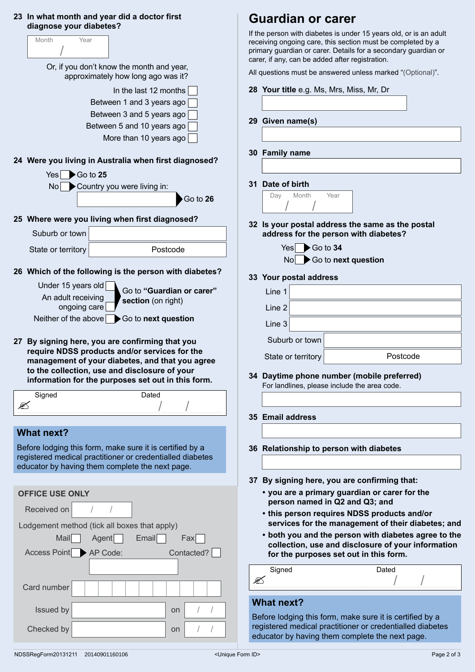| 23 In what month and year did a doctor first |
|----------------------------------------------|
| diagnose your diabetes?                      |

| diagnose your diabetes?                      |                                                                                                                                                                                                                                                           |
|----------------------------------------------|-----------------------------------------------------------------------------------------------------------------------------------------------------------------------------------------------------------------------------------------------------------|
| Month<br>Year                                |                                                                                                                                                                                                                                                           |
|                                              | Or, if you don't know the month and year,<br>approximately how long ago was it?                                                                                                                                                                           |
|                                              | In the last 12 months                                                                                                                                                                                                                                     |
|                                              | Between 1 and 3 years ago                                                                                                                                                                                                                                 |
|                                              | Between 3 and 5 years ago                                                                                                                                                                                                                                 |
|                                              | Between 5 and 10 years ago<br>More than 10 years ago                                                                                                                                                                                                      |
|                                              | 24 Were you living in Australia when first diagnosed?                                                                                                                                                                                                     |
| $Yes \rightarrow Go$ to 25<br>No             | Country you were living in:                                                                                                                                                                                                                               |
|                                              | Go to 26                                                                                                                                                                                                                                                  |
|                                              | 25 Where were you living when first diagnosed?                                                                                                                                                                                                            |
| Suburb or town                               |                                                                                                                                                                                                                                                           |
| State or territory                           | Postcode                                                                                                                                                                                                                                                  |
|                                              | 26 Which of the following is the person with diabetes?                                                                                                                                                                                                    |
| Under 15 years old<br>An adult receiving     | Go to "Guardian or carer"                                                                                                                                                                                                                                 |
| ongoing care                                 | section (on right)                                                                                                                                                                                                                                        |
|                                              |                                                                                                                                                                                                                                                           |
| Neither of the above                         | Go to next question                                                                                                                                                                                                                                       |
|                                              | 27 By signing here, you are confirming that you<br>require NDSS products and/or services for the<br>management of your diabetes, and that you agree<br>to the collection, use and disclosure of your<br>information for the purposes set out in this form |
| Signed                                       | Dated                                                                                                                                                                                                                                                     |
|                                              |                                                                                                                                                                                                                                                           |
|                                              |                                                                                                                                                                                                                                                           |
| <b>What next?</b>                            | Before lodging this form, make sure it is certified by a<br>registered medical practitioner or credentialled diabetes<br>educator by having them complete the next page.                                                                                  |
| <b>OFFICE USE ONLY</b>                       |                                                                                                                                                                                                                                                           |
| Received on<br>$\sqrt{2}$                    | $\sqrt{2}$                                                                                                                                                                                                                                                |
| Lodgement method (tick all boxes that apply) |                                                                                                                                                                                                                                                           |
| <b>Mail</b>                                  | Agent<br>Email<br>Fax                                                                                                                                                                                                                                     |
| Access Point AP Code:                        | Contacted?                                                                                                                                                                                                                                                |
| Card number                                  |                                                                                                                                                                                                                                                           |
| Issued by                                    | on<br>1<br>T                                                                                                                                                                                                                                              |

## **Guardian or carer**

If the person with diabetes is under 15 years old, or is an adult receiving ongoing care, this section must be completed by a primary guardian or carer. Details for a secondary guardian or carer, if any, can be added after registration.

All questions must be answered unless marked "(Optional)".

- **28 Your title** e.g. Ms, Mrs, Miss, Mr, Dr
- **29 Given name(s)**
- **30 Family name**

#### **31 Date of birth**



- **32 Is your postal address the same as the postal address for the person with diabetes?**
	- Yes Co to 34 No Go to next question

#### **33 Your postal address**

| Line 1             |                |          |
|--------------------|----------------|----------|
| Line $2 $          |                |          |
| Line 3             |                |          |
|                    | Suburb or town |          |
| State or territory |                | Postcode |

**34 Daytime phone number (mobile preferred)** For landlines, please include the area code.

#### **35 Email address**

- **36 Relationship to person with diabetes**
- **37 By signing here, you are confirming that:**
	- **• you are a primary guardian or carer for the person named in Q2 and Q3; and**
	- **• this person requires NDSS products and/or services for the management of their diabetes; and**
	- **• both you and the person with diabetes agree to the collection, use and disclosure of your information for the purposes set out in this form.**

| Signed | Dated |
|--------|-------|
|        |       |
|        |       |

#### **What next?**

Before lodging this form, make sure it is certified by a registered medical practitioner or credentialled diabetes educator by having them complete the next page.